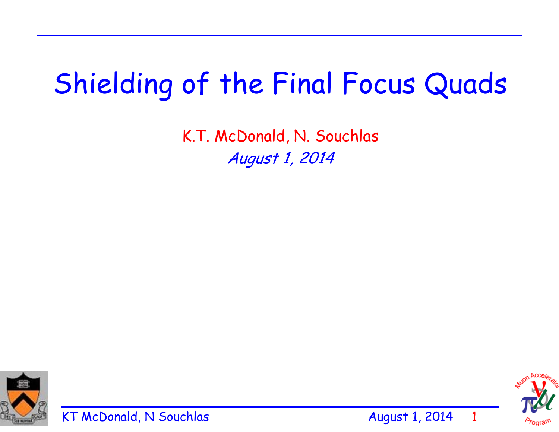## Shielding of the Final Focus Quads

K.T. McDonald, N. Souchlas August 1, 2014







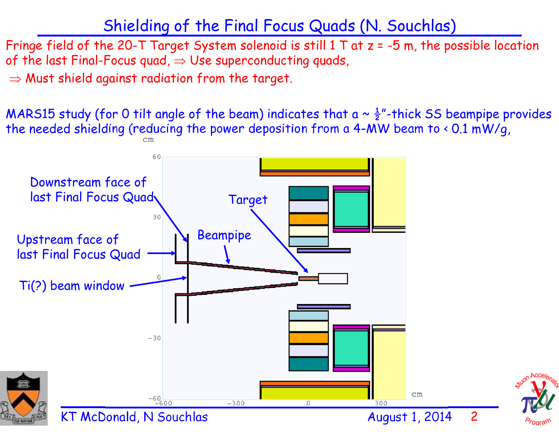## Shielding of the Final Focus Quads (N. Souchlas)

Fringe field of the 20-T Target System solenoid is still  $1$  T at  $z = -5$  m, the possible location of the last Final-Focus quad,  $\Rightarrow$  Use superconducting quads,

 $\Rightarrow$  Must shield against radiation from the target.

MARS15 study (for 0 tilt angle of the beam) indicates that a  $\sim \frac{1}{2}$ "-thick SS beampipe provides the needed shielding (reducing the power deposition from a 4-MW beam to < 0.1 mW/g,

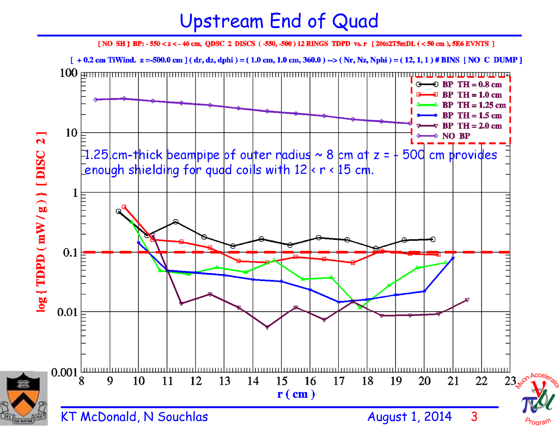## Upstream End of Quad